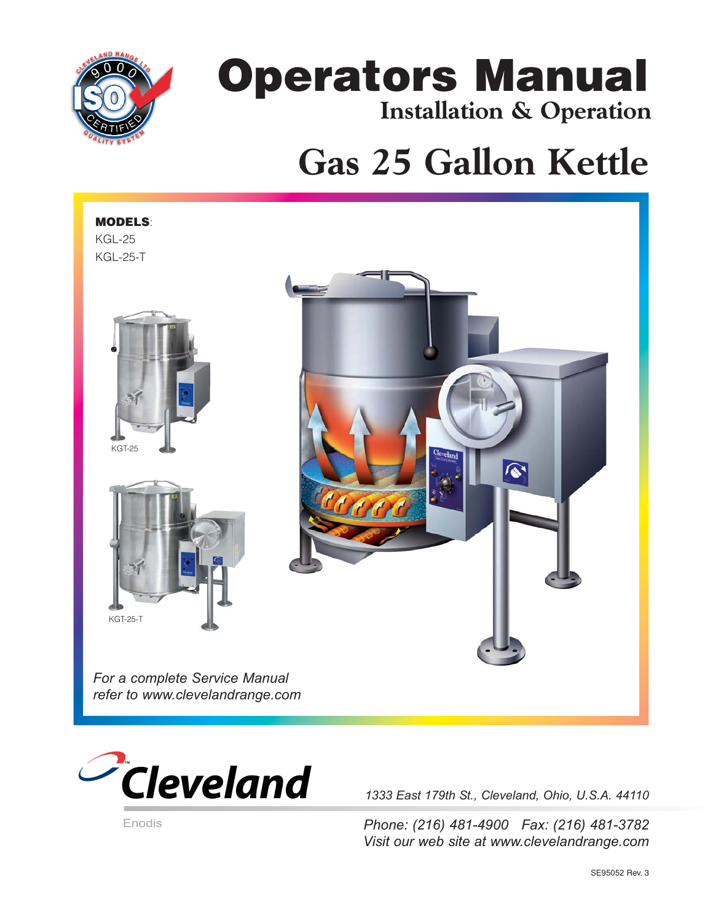

# **Operators Manual Installation & Operation**

# **Gas 25 Gallon Kettle**





*1333 East 179th St., Cleveland, Ohio, U.S.A. 44110*

*Phone: (216) 481-4900 Fax: (216) 481-3782 Visit our web site at www.clevelandrange.com*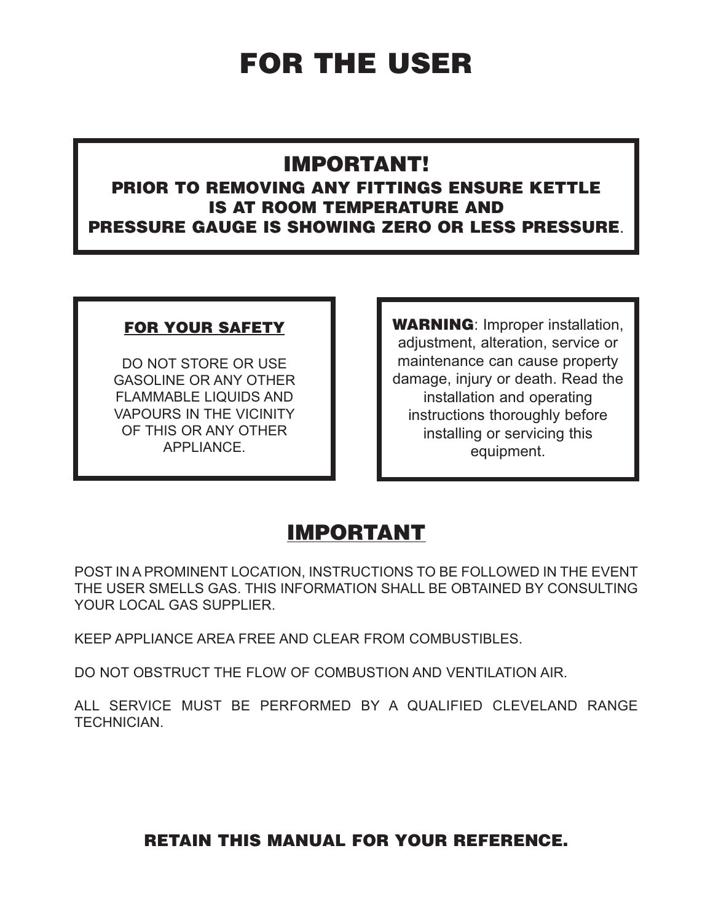# **FOR THE USER**

## **IMPORTANT!**

#### **PRIOR TO REMOVING ANY FITTINGS ENSURE KETTLE IS AT ROOM TEMPERATURE AND PRESSURE GAUGE IS SHOWING ZERO OR LESS PRESSURE**.

#### **FOR YOUR SAFETY**

DO NOT STORE OR USE GASOLINE OR ANY OTHER FLAMMABLE LIQUIDS AND VAPOURS IN THE VICINITY OF THIS OR ANY OTHER APPLIANCE.

**WARNING**: Improper installation, adjustment, alteration, service or maintenance can cause property damage, injury or death. Read the installation and operating instructions thoroughly before installing or servicing this equipment.

# **IMPORTANT**

POST IN A PROMINENT LOCATION, INSTRUCTIONS TO BE FOLLOWED IN THE EVENT THE USER SMELLS GAS. THIS INFORMATION SHALL BE OBTAINED BY CONSULTING YOUR LOCAL GAS SUPPLIER.

KEEP APPLIANCE AREA FREE AND CLEAR FROM COMBUSTIBLES.

DO NOT OBSTRUCT THE FLOW OF COMBUSTION AND VENTILATION AIR.

ALL SERVICE MUST BE PERFORMED BY A QUALIFIED CLEVELAND RANGE TECHNICIAN.

#### **RETAIN THIS MANUAL FOR YOUR REFERENCE.**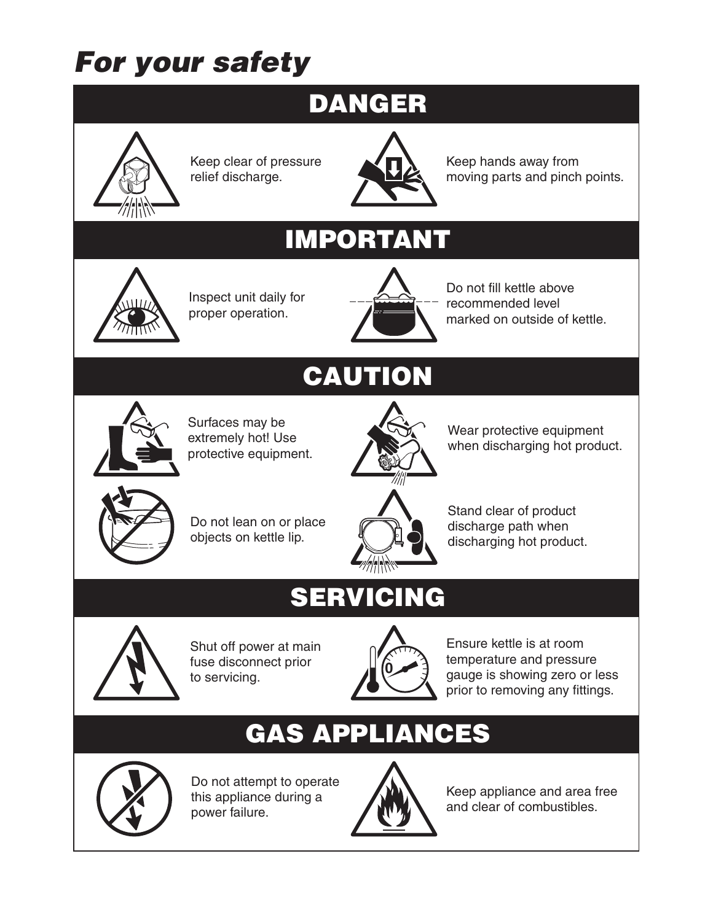# **For your safety**

# **DANGER**



Keep clear of pressure relief discharge.



Keep hands away from moving parts and pinch points.

# **IMPORTANT**



Inspect unit daily for proper operation.



Do not fill kettle above recommended level marked on outside of kettle.



Surfaces may be extremely hot! Use protective equipment.

# **CAUTION**



Wear protective equipment when discharging hot product.



Do not lean on or place objects on kettle lip.



Stand clear of product discharge path when discharging hot product.

# **SERVICING**



Shut off power at main fuse disconnect prior to servicing.



Ensure kettle is at room temperature and pressure gauge is showing zero or less prior to removing any fittings.

# **GAS APPLIANCES**



Do not attempt to operate this appliance during a power failure.



Keep appliance and area free and clear of combustibles.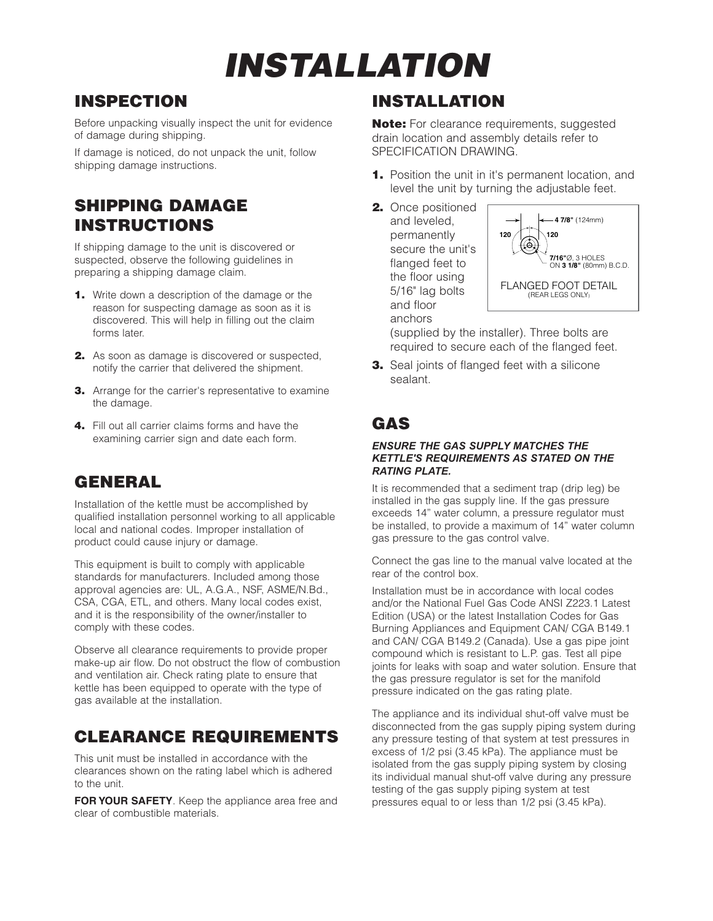# **INSTALLATION**

## **INSPECTION**

Before unpacking visually inspect the unit for evidence of damage during shipping.

If damage is noticed, do not unpack the unit, follow shipping damage instructions.

#### **SHIPPING DAMAGE INSTRUCTIONS**

If shipping damage to the unit is discovered or suspected, observe the following guidelines in preparing a shipping damage claim.

- **1.** Write down a description of the damage or the reason for suspecting damage as soon as it is discovered. This will help in filling out the claim forms later.
- **2.** As soon as damage is discovered or suspected, notify the carrier that delivered the shipment.
- **3.** Arrange for the carrier's representative to examine the damage.
- **4.** Fill out all carrier claims forms and have the examining carrier sign and date each form.

## **GENERAL**

Installation of the kettle must be accomplished by qualified installation personnel working to all applicable local and national codes. Improper installation of product could cause injury or damage.

This equipment is built to comply with applicable standards for manufacturers. Included among those approval agencies are: UL, A.G.A., NSF, ASME/N.Bd., CSA, CGA, ETL, and others. Many local codes exist, and it is the responsibility of the owner/installer to comply with these codes.

Observe all clearance requirements to provide proper make-up air flow. Do not obstruct the flow of combustion and ventilation air. Check rating plate to ensure that kettle has been equipped to operate with the type of gas available at the installation.

#### **CLEARANCE REQUIREMENTS**

This unit must be installed in accordance with the clearances shown on the rating label which is adhered to the unit.

**FOR YOUR SAFETY**. Keep the appliance area free and clear of combustible materials.

## **INSTALLATION**

**Note:** For clearance requirements, suggested drain location and assembly details refer to SPECIFICATION DRAWING.

- **1.** Position the unit in it's permanent location, and level the unit by turning the adjustable feet.
- **2.** Once positioned and leveled, permanently secure the unit's flanged feet to the floor using 5/16" lag bolts and floor anchors



(supplied by the installer). Three bolts are required to secure each of the flanged feet.

**3.** Seal joints of flanged feet with a silicone sealant.

## **GAS**

#### *ENSURE THE GAS SUPPLY MATCHES THE KETTLE'S REQUIREMENTS AS STATED ON THE RATING PLATE.*

It is recommended that a sediment trap (drip leg) be installed in the gas supply line. If the gas pressure exceeds 14" water column, a pressure regulator must be installed, to provide a maximum of 14" water column gas pressure to the gas control valve.

Connect the gas line to the manual valve located at the rear of the control box.

Installation must be in accordance with local codes and/or the National Fuel Gas Code ANSI Z223.1 Latest Edition (USA) or the latest Installation Codes for Gas Burning Appliances and Equipment CAN/ CGA B149.1 and CAN/ CGA B149.2 (Canada). Use a gas pipe joint compound which is resistant to L.P. gas. Test all pipe joints for leaks with soap and water solution. Ensure that the gas pressure regulator is set for the manifold pressure indicated on the gas rating plate.

The appliance and its individual shut-off valve must be disconnected from the gas supply piping system during any pressure testing of that system at test pressures in excess of 1/2 psi (3.45 kPa). The appliance must be isolated from the gas supply piping system by closing its individual manual shut-off valve during any pressure testing of the gas supply piping system at test pressures equal to or less than 1/2 psi (3.45 kPa).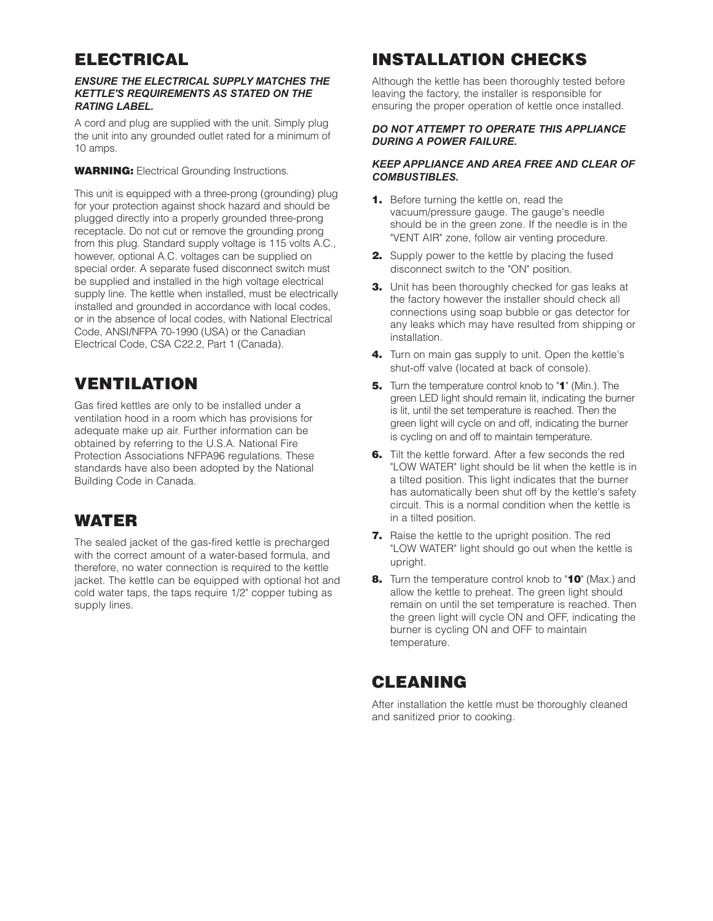### **ELECTRICAL**

#### *ENSURE THE ELECTRICAL SUPPLY MATCHES THE KETTLE'S REQUIREMENTS AS STATED ON THE RATING LABEL.*

A cord and plug are supplied with the unit. Simply plug the unit into any grounded outlet rated for a minimum of 10 amps.

**WARNING:** Electrical Grounding Instructions.

This unit is equipped with a three-prong (grounding) plug for your protection against shock hazard and should be plugged directly into a properly grounded three-prong receptacle. Do not cut or remove the grounding prong from this plug. Standard supply voltage is 115 volts A.C., however, optional A.C. voltages can be supplied on special order. A separate fused disconnect switch must be supplied and installed in the high voltage electrical supply line. The kettle when installed, must be electrically installed and grounded in accordance with local codes, or in the absence of local codes, with National Electrical Code, ANSI/NFPA 70-1990 (USA) or the Canadian Electrical Code, CSA C22.2, Part 1 (Canada).

#### **VENTILATION**

Gas fired kettles are only to be installed under a ventilation hood in a room which has provisions for adequate make up air. Further information can be obtained by referring to the U.S.A. National Fire Protection Associations NFPA96 regulations. These standards have also been adopted by the National Building Code in Canada.

#### **WATER**

The sealed jacket of the gas-fired kettle is precharged with the correct amount of a water-based formula, and therefore, no water connection is required to the kettle jacket. The kettle can be equipped with optional hot and cold water taps, the taps require 1/2" copper tubing as supply lines.

## **INSTALLATION CHECKS**

Although the kettle has been thoroughly tested before leaving the factory, the installer is responsible for ensuring the proper operation of kettle once installed.

#### *DO NOT ATTEMPT TO OPERATE THIS APPLIANCE DURING A POWER FAILURE.*

#### *KEEP APPLIANCE AND AREA FREE AND CLEAR OF COMBUSTIBLES.*

- **1.** Before turning the kettle on, read the vacuum/pressure gauge. The gauge's needle should be in the green zone. If the needle is in the "VENT AIR" zone, follow air venting procedure.
- **2.** Supply power to the kettle by placing the fused disconnect switch to the "ON" position.
- **3.** Unit has been thoroughly checked for gas leaks at the factory however the installer should check all connections using soap bubble or gas detector for any leaks which may have resulted from shipping or installation.
- **4.** Turn on main gas supply to unit. Open the kettle's shut-off valve (located at back of console).
- **5.** Turn the temperature control knob to "**1**" (Min.). The green LED light should remain lit, indicating the burner is lit, until the set temperature is reached. Then the green light will cycle on and off, indicating the burner is cycling on and off to maintain temperature.
- **6.** Tilt the kettle forward. After a few seconds the red "LOW WATER" light should be lit when the kettle is in a tilted position. This light indicates that the burner has automatically been shut off by the kettle's safety circuit. This is a normal condition when the kettle is in a tilted position.
- **7.** Raise the kettle to the upright position. The red "LOW WATER" light should go out when the kettle is upright.
- **8.** Turn the temperature control knob to "**10**" (Max.) and allow the kettle to preheat. The green light should remain on until the set temperature is reached. Then the green light will cycle ON and OFF, indicating the burner is cycling ON and OFF to maintain temperature.

#### **CLEANING**

After installation the kettle must be thoroughly cleaned and sanitized prior to cooking.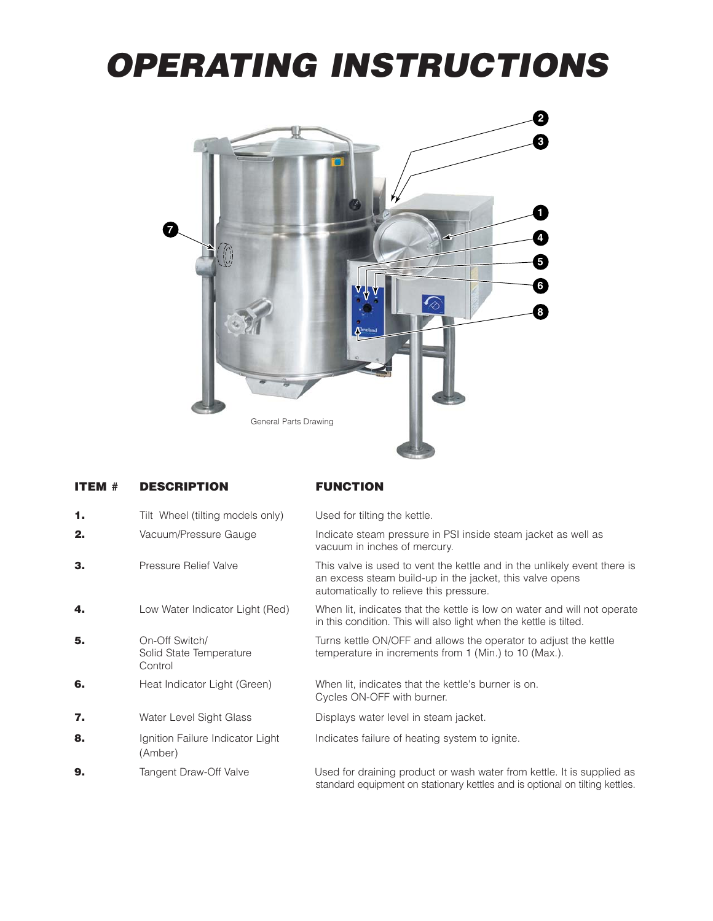# **OPERATING INSTRUCTIONS**



| <b>ITEM #</b> | <b>DESCRIPTION</b>                                   | <b>FUNCTION</b>                                                                                                                                                                 |
|---------------|------------------------------------------------------|---------------------------------------------------------------------------------------------------------------------------------------------------------------------------------|
| 1.            | Tilt Wheel (tilting models only)                     | Used for tilting the kettle.                                                                                                                                                    |
| 2.            | Vacuum/Pressure Gauge                                | Indicate steam pressure in PSI inside steam jacket as well as<br>vacuum in inches of mercury.                                                                                   |
| З.            | Pressure Relief Valve                                | This valve is used to vent the kettle and in the unlikely event there is<br>an excess steam build-up in the jacket, this valve opens<br>automatically to relieve this pressure. |
| 4.            | Low Water Indicator Light (Red)                      | When lit, indicates that the kettle is low on water and will not operate<br>in this condition. This will also light when the kettle is tilted.                                  |
| 5.            | On-Off Switch/<br>Solid State Temperature<br>Control | Turns kettle ON/OFF and allows the operator to adjust the kettle<br>temperature in increments from 1 (Min.) to 10 (Max.).                                                       |
| 6.            | Heat Indicator Light (Green)                         | When lit, indicates that the kettle's burner is on.<br>Cycles ON-OFF with burner.                                                                                               |
| 7.            | Water Level Sight Glass                              | Displays water level in steam jacket.                                                                                                                                           |
| 8.            | Ignition Failure Indicator Light<br>(Amber)          | Indicates failure of heating system to ignite.                                                                                                                                  |
| 9.            | Tangent Draw-Off Valve                               | Used for draining product or wash water from kettle. It is supplied as<br>standard equipment on stationary kettles and is optional on tilting kettles.                          |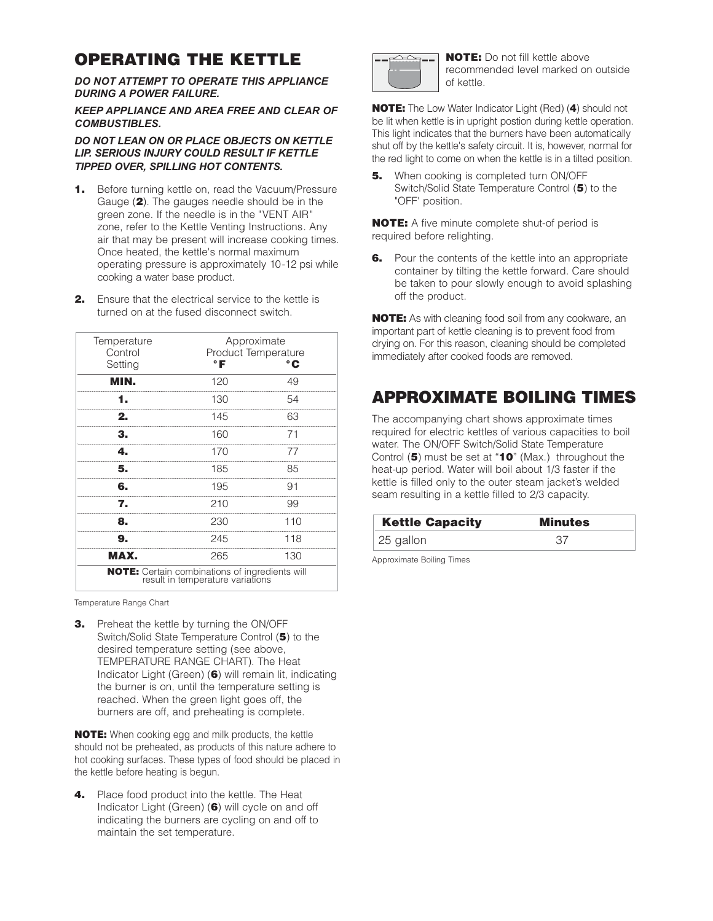#### **OPERATING THE KETTLE**

*DO NOT ATTEMPT TO OPERATE THIS APPLIANCE DURING A POWER FAILURE.*

*KEEP APPLIANCE AND AREA FREE AND CLEAR OF COMBUSTIBLES.*

*DO NOT LEAN ON OR PLACE OBJECTS ON KETTLE LIP. SERIOUS INJURY COULD RESULT IF KETTLE TIPPED OVER, SPILLING HOT CONTENTS.*

- **1.** Before turning kettle on, read the Vacuum/Pressure Gauge (**2**). The gauges needle should be in the green zone. If the needle is in the "VENT AIR" zone, refer to the Kettle Venting Instructions. Any air that may be present will increase cooking times. Once heated, the kettle's normal maximum operating pressure is approximately 10-12 psi while cooking a water base product.
- **2.** Ensure that the electrical service to the kettle is turned on at the fused disconnect switch.

| Temperature<br>Control | Approximate<br>Product Temperature                                                        |     |
|------------------------|-------------------------------------------------------------------------------------------|-----|
| Setting                | ۰F                                                                                        | °€  |
| MIN.                   | 120                                                                                       | 49  |
|                        | 130                                                                                       | 54  |
| 2.                     | 145                                                                                       | 63  |
| З.                     | 160                                                                                       | 71  |
| 4.                     | 170                                                                                       | 77  |
| 5.                     | 185                                                                                       | 85  |
| 6.                     | 195                                                                                       | 91  |
| 7.                     | 210                                                                                       | 99  |
| 8.                     | 230                                                                                       | 110 |
| 9.                     | 245                                                                                       | 118 |
| MAX.                   | 265                                                                                       | 130 |
|                        | <b>NOTE:</b> Certain combinations of ingredients will<br>result in temperature variations |     |

Temperature Range Chart

**3.** Preheat the kettle by turning the ON/OFF Switch/Solid State Temperature Control (**5**) to the desired temperature setting (see above, TEMPERATURE RANGE CHART). The Heat Indicator Light (Green) (**6**) will remain lit, indicating the burner is on, until the temperature setting is reached. When the green light goes off, the burners are off, and preheating is complete.

**NOTE:** When cooking egg and milk products, the kettle should not be preheated, as products of this nature adhere to hot cooking surfaces. These types of food should be placed in the kettle before heating is begun.

**4.** Place food product into the kettle. The Heat Indicator Light (Green) (**6**) will cycle on and off indicating the burners are cycling on and off to maintain the set temperature.



**NOTE:** Do not fill kettle above recommended level marked on outside of kettle.

**NOTE:** The Low Water Indicator Light (Red) (**4**) should not be lit when kettle is in upright postion during kettle operation. This light indicates that the burners have been automatically shut off by the kettle's safety circuit. It is, however, normal for the red light to come on when the kettle is in a tilted position.

**5.** When cooking is completed turn ON/OFF Switch/Solid State Temperature Control (**5**) to the "OFF' position.

**NOTE:** A five minute complete shut-of period is required before relighting.

**6.** Pour the contents of the kettle into an appropriate container by tilting the kettle forward. Care should be taken to pour slowly enough to avoid splashing off the product.

**NOTE:** As with cleaning food soil from any cookware, an important part of kettle cleaning is to prevent food from drying on. For this reason, cleaning should be completed immediately after cooked foods are removed.

### **APPROXIMATE BOILING TIMES**

The accompanying chart shows approximate times required for electric kettles of various capacities to boil water. The ON/OFF Switch/Solid State Temperature Control (**5**) must be set at "**10**" (Max.) throughout the heat-up period. Water will boil about 1/3 faster if the kettle is filled only to the outer steam jacket's welded seam resulting in a kettle filled to 2/3 capacity.

| <b>Kettle Capacity</b> | <b>Minutes</b> |
|------------------------|----------------|
| 25 gallon              | .37            |

Approximate Boiling Times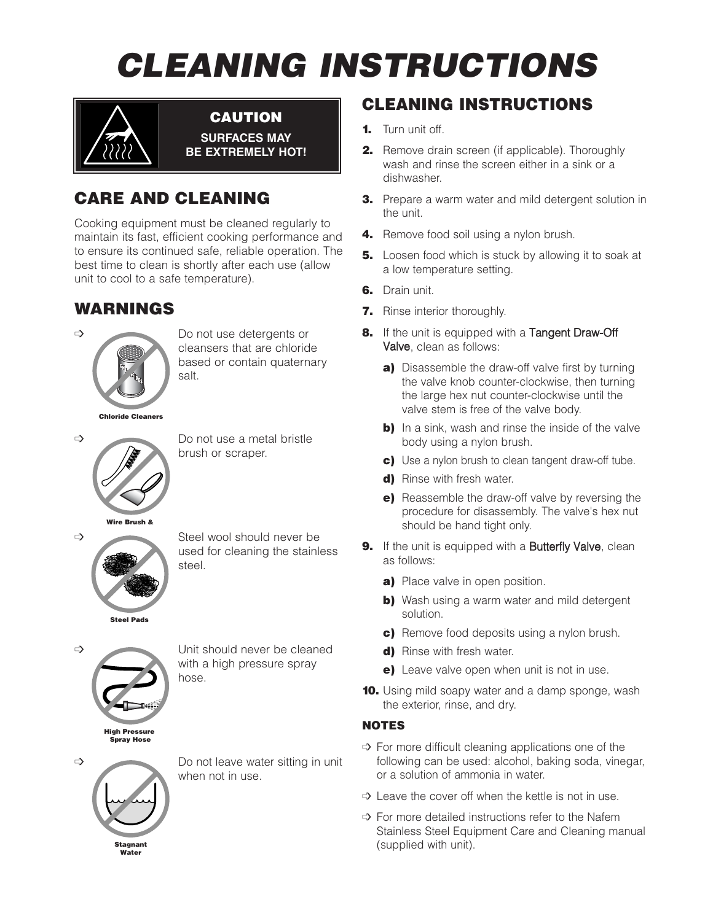# **CLEANING INSTRUCTIONS**



**CAUTION SURFACES MAY BE EXTREMELY HOT!**

## **CARE AND CLEANING**

Cooking equipment must be cleaned regularly to maintain its fast, efficient cooking performance and to ensure its continued safe, reliable operation. The best time to clean is shortly after each use (allow unit to cool to a safe temperature).

### **WARNINGS**



 $\Rightarrow$  Do not use detergents or cleansers that are chloride based or contain quaternary salt.

**Chloride Cleaners**



 $\Rightarrow$  Do not use a metal bristle brush or scraper.



 $\Rightarrow$  Steel wool should never be used for cleaning the stainless steel.

**High Pressure Spray Hose**

 $\Rightarrow$  Unit should never be cleaned with a high pressure spray hose.

**Stagnant Water**

 $\Rightarrow$  Do not leave water sitting in unit when not in use.

## **CLEANING INSTRUCTIONS**

- **1.** Turn unit off.
- **2.** Remove drain screen (if applicable). Thoroughly wash and rinse the screen either in a sink or a dishwasher.
- **3.** Prepare a warm water and mild detergent solution in the unit.
- **4.** Remove food soil using a nylon brush.
- **5.** Loosen food which is stuck by allowing it to soak at a low temperature setting.
- **6.** Drain unit.
- **7.** Rinse interior thoroughly.
- **8.** If the unit is equipped with a Tangent Draw-Off Valve, clean as follows:
	- **a)** Disassemble the draw-off valve first by turning the valve knob counter-clockwise, then turning the large hex nut counter-clockwise until the valve stem is free of the valve body.
	- **b)** In a sink, wash and rinse the inside of the valve body using a nylon brush.
	- **c)** Use a nylon brush to clean tangent draw-off tube.
	- **d)** Rinse with fresh water.
	- **e)** Reassemble the draw-off valve by reversing the procedure for disassembly. The valve's hex nut should be hand tight only.
- **9.** If the unit is equipped with a **Butterfly Valve**, clean as follows:
	- **a)** Place valve in open position.
	- **b)** Wash using a warm water and mild detergent solution.
	- **c)** Remove food deposits using a nylon brush.
	- **d)** Rinse with fresh water.
	- **e)** Leave valve open when unit is not in use.
- **10.** Using mild soapy water and a damp sponge, wash the exterior, rinse, and dry.

#### **NOTES**

- $\Rightarrow$  For more difficult cleaning applications one of the following can be used: alcohol, baking soda, vinegar, or a solution of ammonia in water.
- $\Rightarrow$  Leave the cover off when the kettle is not in use.
- $\Rightarrow$  For more detailed instructions refer to the Nafem Stainless Steel Equipment Care and Cleaning manual (supplied with unit).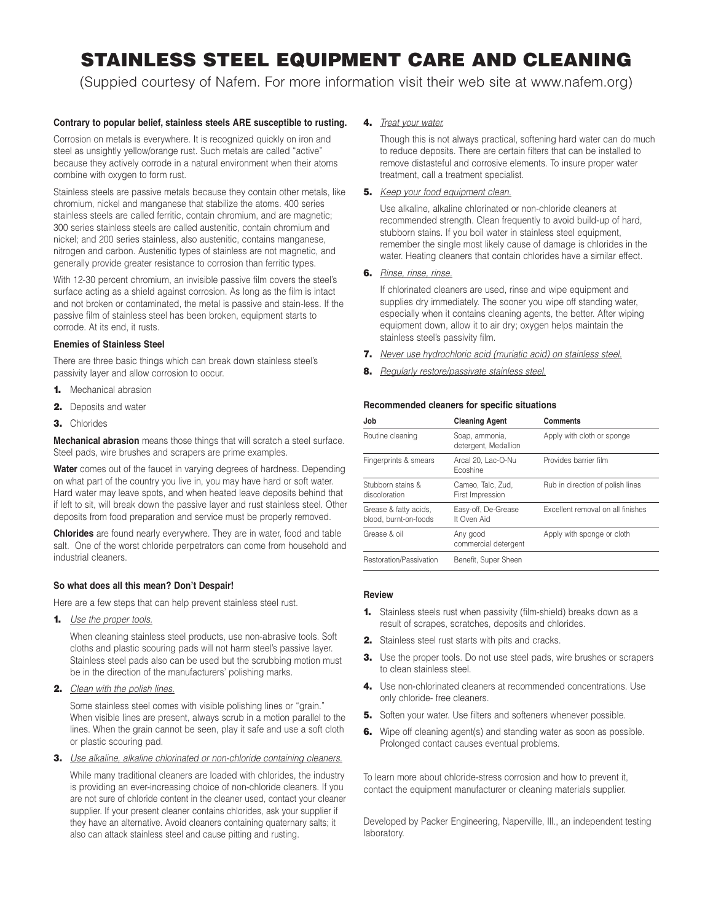# **STAINLESS STEEL EQUIPMENT CARE AND CLEANING**

(Suppied courtesy of Nafem. For more information visit their web site at www.nafem.org)

#### **Contrary to popular belief, stainless steels ARE susceptible to rusting.**

Corrosion on metals is everywhere. It is recognized quickly on iron and steel as unsightly yellow/orange rust. Such metals are called "active" because they actively corrode in a natural environment when their atoms combine with oxygen to form rust.

Stainless steels are passive metals because they contain other metals, like chromium, nickel and manganese that stabilize the atoms. 400 series stainless steels are called ferritic, contain chromium, and are magnetic; 300 series stainless steels are called austenitic, contain chromium and nickel; and 200 series stainless, also austenitic, contains manganese, nitrogen and carbon. Austenitic types of stainless are not magnetic, and generally provide greater resistance to corrosion than ferritic types.

With 12-30 percent chromium, an invisible passive film covers the steel's surface acting as a shield against corrosion. As long as the film is intact and not broken or contaminated, the metal is passive and stain-less. If the passive film of stainless steel has been broken, equipment starts to corrode. At its end, it rusts.

#### **Enemies of Stainless Steel**

There are three basic things which can break down stainless steel's passivity layer and allow corrosion to occur.

- **1.** Mechanical abrasion
- **2.** Deposits and water
- **3.** Chlorides

**Mechanical abrasion** means those things that will scratch a steel surface. Steel pads, wire brushes and scrapers are prime examples.

**Water** comes out of the faucet in varying degrees of hardness. Depending on what part of the country you live in, you may have hard or soft water. Hard water may leave spots, and when heated leave deposits behind that if left to sit, will break down the passive layer and rust stainless steel. Other deposits from food preparation and service must be properly removed.

**Chlorides** are found nearly everywhere. They are in water, food and table salt. One of the worst chloride perpetrators can come from household and industrial cleaners.

#### **So what does all this mean? Don't Despair!**

Here are a few steps that can help prevent stainless steel rust.

**1.** Use the proper tools.

When cleaning stainless steel products, use non-abrasive tools. Soft cloths and plastic scouring pads will not harm steel's passive layer. Stainless steel pads also can be used but the scrubbing motion must be in the direction of the manufacturers' polishing marks.

**2.** Clean with the polish lines.

Some stainless steel comes with visible polishing lines or "grain." When visible lines are present, always scrub in a motion parallel to the lines. When the grain cannot be seen, play it safe and use a soft cloth or plastic scouring pad.

**3.** Use alkaline, alkaline chlorinated or non-chloride containing cleaners.

While many traditional cleaners are loaded with chlorides, the industry is providing an ever-increasing choice of non-chloride cleaners. If you are not sure of chloride content in the cleaner used, contact your cleaner supplier. If your present cleaner contains chlorides, ask your supplier if they have an alternative. Avoid cleaners containing quaternary salts; it also can attack stainless steel and cause pitting and rusting.

**4.** Treat your water.

Though this is not always practical, softening hard water can do much to reduce deposits. There are certain filters that can be installed to remove distasteful and corrosive elements. To insure proper water treatment, call a treatment specialist.

#### **5.** Keep your food equipment clean.

Use alkaline, alkaline chlorinated or non-chloride cleaners at recommended strength. Clean frequently to avoid build-up of hard, stubborn stains. If you boil water in stainless steel equipment, remember the single most likely cause of damage is chlorides in the water. Heating cleaners that contain chlorides have a similar effect.

#### **6.** Rinse, rinse, rinse.

If chlorinated cleaners are used, rinse and wipe equipment and supplies dry immediately. The sooner you wipe off standing water, especially when it contains cleaning agents, the better. After wiping equipment down, allow it to air dry; oxygen helps maintain the stainless steel's passivity film.

- **7.** Never use hydrochloric acid (muriatic acid) on stainless steel.
- **8.** Regularly restore/passivate stainless steel.

#### **Recommended cleaners for specific situations**

| Job                                            | <b>Cleaning Agent</b>                  | <b>Comments</b>                   |
|------------------------------------------------|----------------------------------------|-----------------------------------|
| Routine cleaning                               | Soap, ammonia,<br>detergent, Medallion | Apply with cloth or sponge        |
| Fingerprints & smears                          | Arcal 20, Lac-O-Nu<br>Ecoshine         | Provides barrier film             |
| Stubborn stains &<br>discoloration             | Cameo, Talc, Zud,<br>First Impression  | Rub in direction of polish lines  |
| Grease & fatty acids,<br>blood, burnt-on-foods | Easy-off, De-Grease<br>It Oven Aid     | Excellent removal on all finishes |
| Grease & oil                                   | Any good<br>commercial detergent       | Apply with sponge or cloth        |
| Restoration/Passivation                        | Benefit, Super Sheen                   |                                   |

#### **Review**

- **1.** Stainless steels rust when passivity (film-shield) breaks down as a result of scrapes, scratches, deposits and chlorides.
- **2.** Stainless steel rust starts with pits and cracks.
- **3.** Use the proper tools. Do not use steel pads, wire brushes or scrapers to clean stainless steel.
- **4.** Use non-chlorinated cleaners at recommended concentrations. Use only chloride- free cleaners.
- **5.** Soften your water. Use filters and softeners whenever possible.
- **6.** Wipe off cleaning agent(s) and standing water as soon as possible. Prolonged contact causes eventual problems.

To learn more about chloride-stress corrosion and how to prevent it, contact the equipment manufacturer or cleaning materials supplier.

Developed by Packer Engineering, Naperville, Ill., an independent testing laboratory.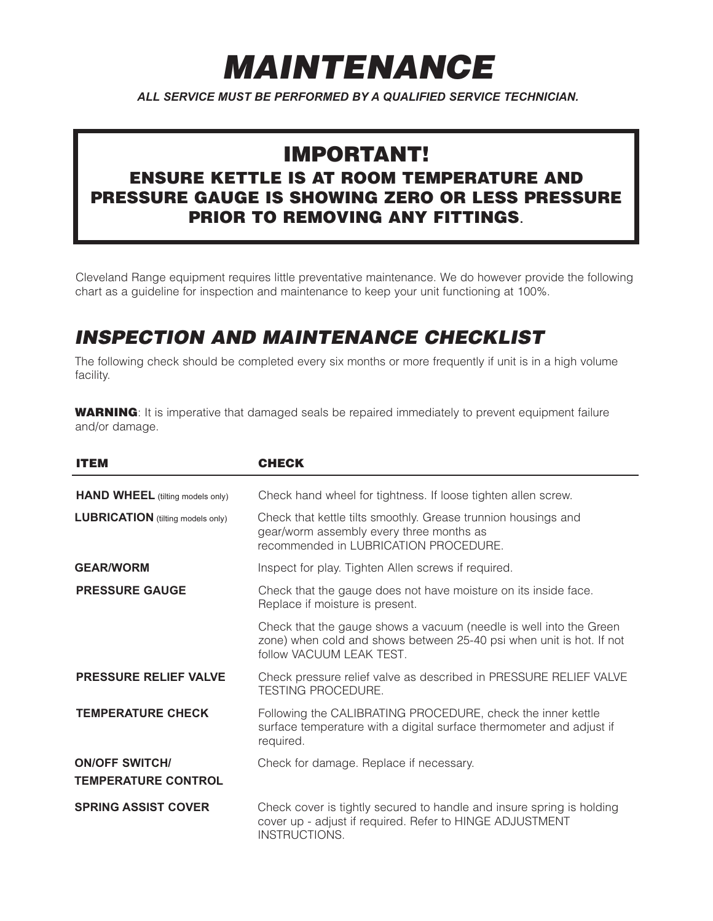# **MAINTENANCE**

*ALL SERVICE MUST BE PERFORMED BY A QUALIFIED SERVICE TECHNICIAN.*

## **IMPORTANT!**

#### **ENSURE KETTLE IS AT ROOM TEMPERATURE AND PRESSURE GAUGE IS SHOWING ZERO OR LESS PRESSURE PRIOR TO REMOVING ANY FITTINGS**.

Cleveland Range equipment requires little preventative maintenance. We do however provide the following chart as a guideline for inspection and maintenance to keep your unit functioning at 100%.

## **INSPECTION AND MAINTENANCE CHECKLIST**

The following check should be completed every six months or more frequently if unit is in a high volume facility.

**WARNING**: It is imperative that damaged seals be repaired immediately to prevent equipment failure and/or damage.

| <b>ITEM</b>                                         | <b>CHECK</b>                                                                                                                                                           |
|-----------------------------------------------------|------------------------------------------------------------------------------------------------------------------------------------------------------------------------|
| <b>HAND WHEEL</b> (tilting models only)             | Check hand wheel for tightness. If loose tighten allen screw.                                                                                                          |
| <b>LUBRICATION</b> (tilting models only)            | Check that kettle tilts smoothly. Grease trunnion housings and<br>gear/worm assembly every three months as<br>recommended in LUBRICATION PROCEDURE.                    |
| <b>GEAR/WORM</b>                                    | Inspect for play. Tighten Allen screws if required.                                                                                                                    |
| <b>PRESSURE GAUGE</b>                               | Check that the gauge does not have moisture on its inside face.<br>Replace if moisture is present.                                                                     |
|                                                     | Check that the gauge shows a vacuum (needle is well into the Green<br>zone) when cold and shows between 25-40 psi when unit is hot. If not<br>follow VACUUM LEAK TEST. |
| <b>PRESSURE RELIEF VALVE</b>                        | Check pressure relief valve as described in PRESSURE RELIEF VALVE<br><b>TESTING PROCEDURE.</b>                                                                         |
| <b>TEMPERATURE CHECK</b>                            | Following the CALIBRATING PROCEDURE, check the inner kettle<br>surface temperature with a digital surface thermometer and adjust if<br>required.                       |
| <b>ON/OFF SWITCH/</b><br><b>TEMPERATURE CONTROL</b> | Check for damage. Replace if necessary.                                                                                                                                |
| <b>SPRING ASSIST COVER</b>                          | Check cover is tightly secured to handle and insure spring is holding<br>cover up - adjust if required. Refer to HINGE ADJUSTMENT<br>INSTRUCTIONS.                     |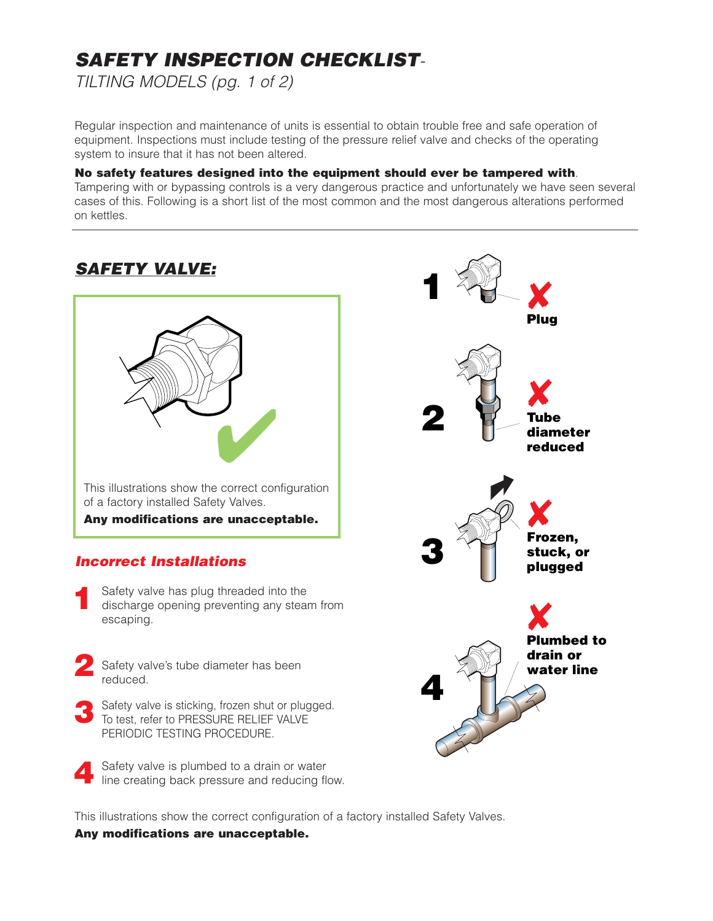# **SAFETY INSPECTION CHECKLIST**-

TILTING MODELS (pg. 1 of 2)

Regular inspection and maintenance of units is essential to obtain trouble free and safe operation of equipment. Inspections must include testing of the pressure relief valve and checks of the operating system to insure that it has not been altered.

#### **No safety features designed into the equipment should ever be tampered with**.

Tampering with or bypassing controls is a very dangerous practice and unfortunately we have seen several cases of this. Following is a short list of the most common and the most dangerous alterations performed on kettles.



This illustrations show the correct configuration of a factory installed Safety Valves.

#### **Any modifications are unacceptable.**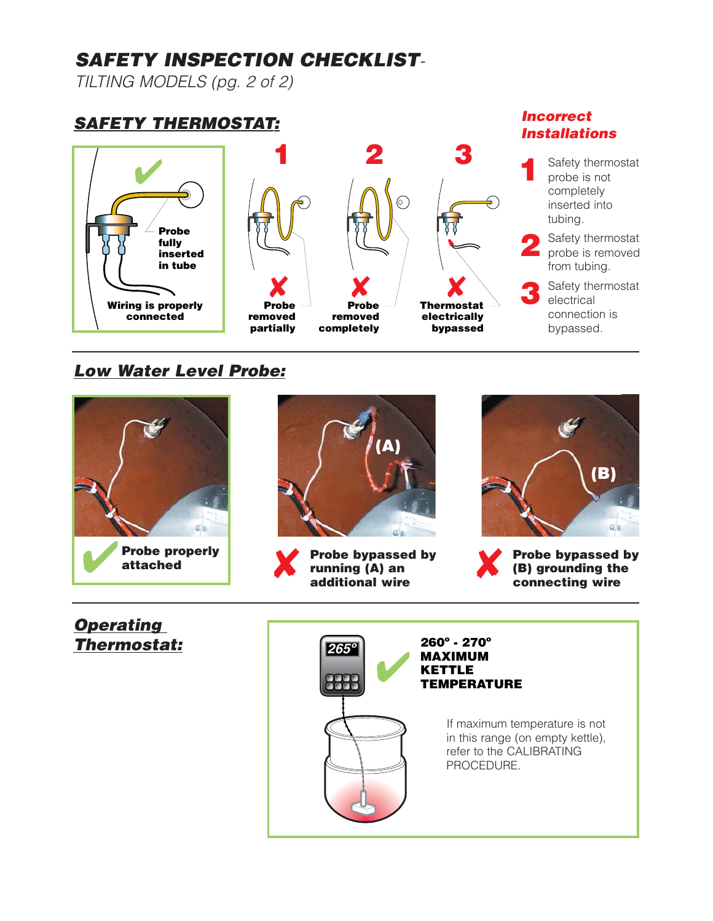## **SAFETY INSPECTION CHECKLIST**-

TILTING MODELS (pg. 2 of 2)

## **SAFETY THERMOSTAT:**





#### **Low Water Level Probe:**